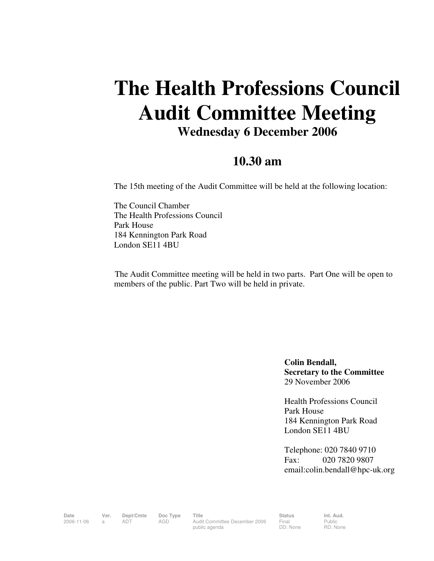## **The Health Professions Council Audit Committee Meeting Wednesday 6 December 2006**

## **10.30 am**

The 15th meeting of the Audit Committee will be held at the following location:

The Council Chamber The Health Professions Council Park House 184 Kennington Park Road London SE11 4BU

 The Audit Committee meeting will be held in two parts. Part One will be open to members of the public. Part Two will be held in private.

> **Colin Bendall, Secretary to the Committee**  29 November 2006

Health Professions Council Park House 184 Kennington Park Road London SE11 4BU

Telephone: 020 7840 9710 Fax: 020 7820 9807 email:colin.bendall@hpc-uk.org

Date Ver. Dept/Cmte Doc<sup>Type</sup> Title **Status** Status Int. Aud. 2006-11-06 a ADT AGD Audit Committee December 2006 public agenda

Final DD: None Public RD: None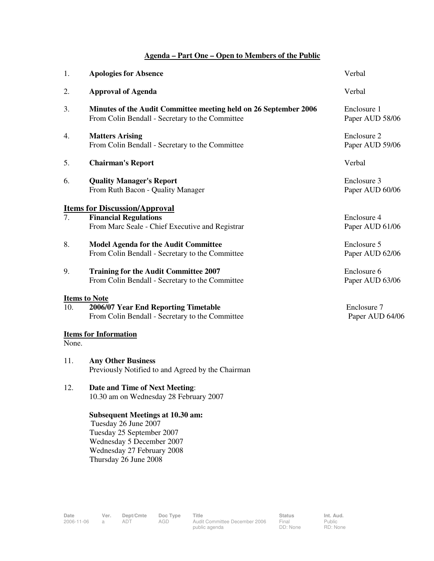## **Agenda – Part One – Open to Members of the Public**

| 1.    | <b>Apologies for Absence</b>                                                                                                                                                     | Verbal                         |
|-------|----------------------------------------------------------------------------------------------------------------------------------------------------------------------------------|--------------------------------|
| 2.    | <b>Approval of Agenda</b>                                                                                                                                                        | Verbal                         |
| 3.    | Minutes of the Audit Committee meeting held on 26 September 2006<br>From Colin Bendall - Secretary to the Committee                                                              | Enclosure 1<br>Paper AUD 58/06 |
| 4.    | <b>Matters Arising</b><br>From Colin Bendall - Secretary to the Committee                                                                                                        | Enclosure 2<br>Paper AUD 59/06 |
| 5.    | <b>Chairman's Report</b>                                                                                                                                                         | Verbal                         |
| 6.    | <b>Quality Manager's Report</b><br>From Ruth Bacon - Quality Manager                                                                                                             | Enclosure 3<br>Paper AUD 60/06 |
|       | <b>Items for Discussion/Approval</b>                                                                                                                                             |                                |
| 7.    | <b>Financial Regulations</b><br>From Marc Seale - Chief Executive and Registrar                                                                                                  | Enclosure 4<br>Paper AUD 61/06 |
| 8.    | <b>Model Agenda for the Audit Committee</b><br>From Colin Bendall - Secretary to the Committee                                                                                   | Enclosure 5<br>Paper AUD 62/06 |
| 9.    | <b>Training for the Audit Committee 2007</b><br>From Colin Bendall - Secretary to the Committee                                                                                  | Enclosure 6<br>Paper AUD 63/06 |
| 10.   | <b>Items to Note</b><br>2006/07 Year End Reporting Timetable<br>From Colin Bendall - Secretary to the Committee                                                                  | Enclosure 7<br>Paper AUD 64/06 |
| None. | <b>Items for Information</b>                                                                                                                                                     |                                |
| 11.   | <b>Any Other Business</b><br>Previously Notified to and Agreed by the Chairman                                                                                                   |                                |
| 12.   | <b>Date and Time of Next Meeting:</b><br>10.30 am on Wednesday 28 February 2007                                                                                                  |                                |
|       | <b>Subsequent Meetings at 10.30 am:</b><br>Tuesday 26 June 2007<br>Tuesday 25 September 2007<br>Wednesday 5 December 2007<br>Wednesday 27 February 2008<br>Thursday 26 June 2008 |                                |